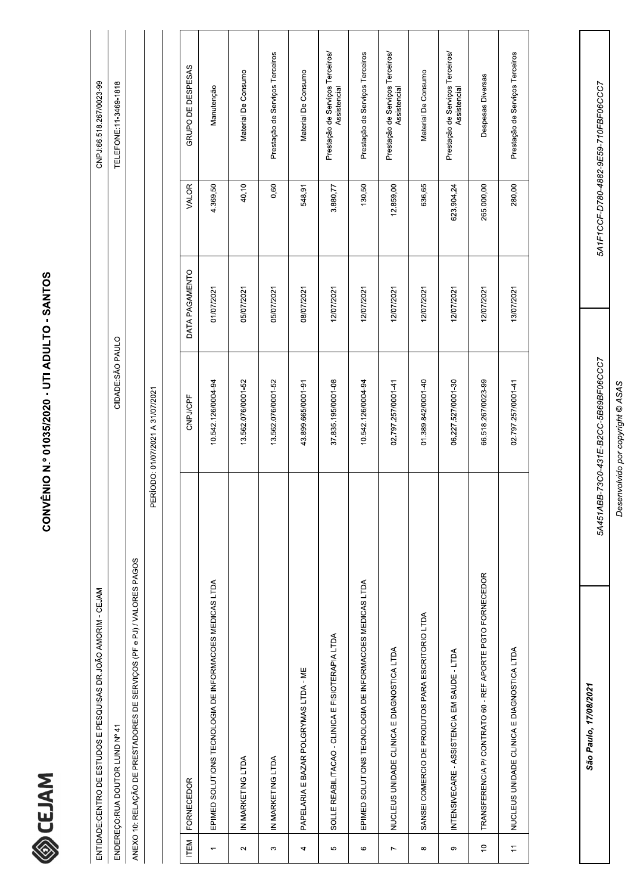

|                | ENTIDADE: CENTRO DE ESTUDOS E PESQUISAS DR. JOÃO AMORIM - CEJAM        |                                  |                |              | CNPJ:66.518.267/0023-99                          |
|----------------|------------------------------------------------------------------------|----------------------------------|----------------|--------------|--------------------------------------------------|
|                | ENDEREÇO:RUA DOUTOR LUND Nº 41                                         | CIDADE:SÃO PAULO                 |                |              | TELEFONE:11-3469-1818                            |
|                | ANEXO 10: RELAÇÃO DE PRESTADORES DE SERVIÇOS (PF e PJ) / VALORES PAGOS |                                  |                |              |                                                  |
|                |                                                                        | PERÍODO: 01/07/2021 A 31/07/2021 |                |              |                                                  |
|                |                                                                        |                                  |                |              |                                                  |
| ITEM           | <b>FORNECEDOR</b>                                                      | CNPJ/CPF                         | DATA PAGAMENTO | <b>VALOR</b> | GRUPO DE DESPESAS                                |
|                | EPIMED SOLUTIONS TECNOLOGIA DE INFORMACOES MEDICAS LTDA                | 10.542.126/0004-94               | 01/07/2021     | 4.369,50     | Manutenção                                       |
| $\sim$         | IN MARKETING LTDA                                                      | 13.562.076/0001-52               | 05/07/2021     | 40,10        | Material De Consumo                              |
| $\infty$       | IN MARKETING LTDA                                                      | 13.562.076/0001-52               | 05/07/2021     | 0,60         | Prestação de Serviços Terceiros                  |
| 4              | PAPELARIA E BAZAR POLGRYMAS LTDA - ME                                  | 43.899.665/0001-91               | 08/07/2021     | 548,91       | Material De Consumo                              |
| Ю              | SOLLE REABILITACAO - CLINICA E FISIOTERAPIA LTDA                       | 37.835.195/0001-08               | 12/07/2021     | 3.880,77     | Prestação de Serviços Terceiros/<br>Assistencial |
| O              | EPIMED SOLUTIONS TECNOLOGIA DE INFORMACOES MEDICAS LTDA                | 10.542.126/0004-94               | 12/07/2021     | 130,50       | Prestação de Serviços Terceiros                  |
| $\overline{ }$ | NUCLEUS UNIDADE CLINICA E DIAGNOSTICA LTDA                             | 02.797.257/0001-41               | 12/07/2021     | 12.859,00    | Prestação de Serviços Terceiros/<br>Assistencial |

São Paulo, 17/08/2021

5A451ABB-73C0-431E-B2CC-5B69BF06CCC7 Desenvolvido por copyright @ ASAS

5A1F1CCF-D780-4882-9E59-710FBF06CCC7

Prestação de Serviços Terceiros/<br>Assistencial

623.904,24

12/07/2021

06.227.527/0001-30

Material De Consumo

636,65

12/07/2021

01.389.842/0001-40

SANSEI COMERCIO DE PRODUTOS PARA ESCRITORIO LTDA

 $\infty$ 

INTENSIVECARE - ASSISTENCIA EM SAUDE - LTDA

 $\circ$ 

Prestação de Serviços Terceiros

280,00

13/07/2021

02.797.257/0001-41

Despesas Diversas

265.000,00

12/07/2021

66.518.267/0023-99

TRANSFERENCIA P/ CONTRATO 60 - REF APORTE PGTO FORNECEDOR

 $\frac{1}{2}$ 

NUCLEUS UNIDADE CLINICA E DIAGNOSTICA LTDA

 $\pm$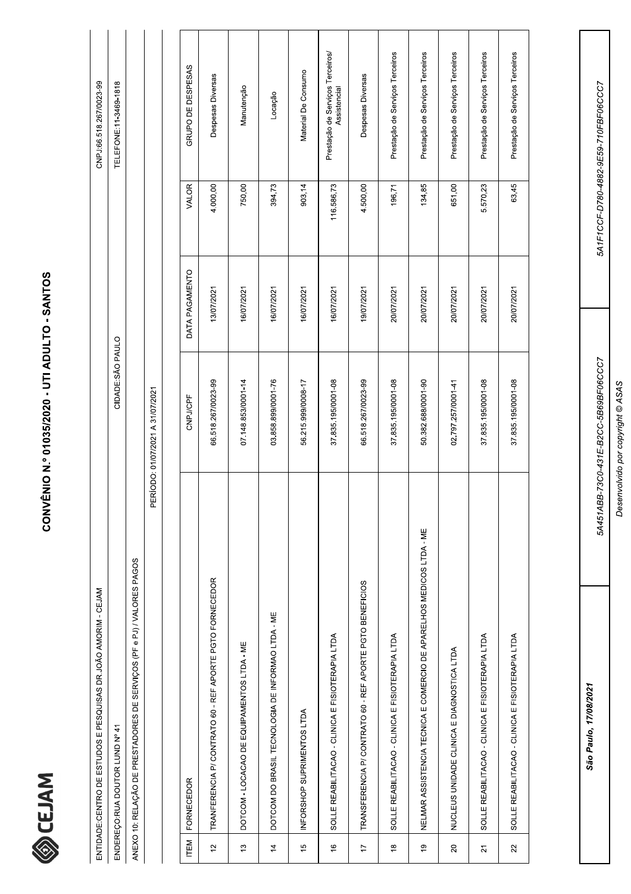

|                | ENTIDADE: CENTRO DE ESTUDOS E PESQUISAS DR.JOÃO AMORIM - CEJAM         |                                  |                |            | CNPJ:66.518.267/0023-99                          |
|----------------|------------------------------------------------------------------------|----------------------------------|----------------|------------|--------------------------------------------------|
|                | ENDEREÇO:RUA DOUTOR LUND Nº 41                                         | CIDADE:SÃO PAULO                 |                |            | TELEFONE:11-3469-1818                            |
|                | ANEXO 10: RELAÇÃO DE PRESTADORES DE SERVIÇOS (PF e PJ) / VALORES PAGOS |                                  |                |            |                                                  |
|                |                                                                        | PERÍODO: 01/07/2021 A 31/07/2021 |                |            |                                                  |
|                |                                                                        |                                  |                |            |                                                  |
| <b>ITEM</b>    | <b>FORNECEDOR</b>                                                      | CNPJ/CPF                         | DATA PAGAMENTO | VALOR      | GRUPO DE DESPESAS                                |
| $\frac{1}{2}$  | TRANFERENCIA P/ CONTRATO 60 - REF APORTE PGTO FORNECEDOR               | 66.518.267/0023-99               | 13/07/2021     | 4.000,00   | Despesas Diversas                                |
| $\frac{1}{2}$  | DOTCOM - LOCACAO DE EQUIPAMENTOS LTDA - ME                             | 07.148.853/0001-14               | 16/07/2021     | 750,00     | Manutenção                                       |
| $\overline{4}$ | DOTCOM DO BRASIL TECNOLOGIA DE INFORMAO LTDA - ME                      | 03.858.899/0001-76               | 16/07/2021     | 394,73     | Locação                                          |
| $\frac{6}{2}$  | INFORSHOP SUPRIMENTOS LTDA                                             | 56.215.999/0008-17               | 16/07/2021     | 903,14     | Material De Consumo                              |
| $\frac{6}{5}$  | SOLLE REABILITACAO - CLINICA E FISIOTERAPIA LTDA                       | 37.835.195/0001-08               | 16/07/2021     | 116.586,73 | Prestação de Serviços Terceiros/<br>Assistencial |
| $\overline{1}$ | TRANSFERENCIA P/ CONTRATO 60 - REF APORTE PGTO BENEFICIOS              | 66.518.267/0023-99               | 19/07/2021     | 4.500,00   | Despesas Diversas                                |
| $\frac{8}{1}$  | SOLLE REABILITACAO - CLINICA E FISIOTERAPIA LTDA                       | 37.835.195/0001-08               | 20/07/2021     | 196,71     | Prestação de Serviços Terceiros                  |
| $\overline{e}$ | NELMAR ASSISTENCIA TECNICA E COMERCIO DE APARELHOS MEDICOS LTDA - ME   | 50.382.688/0001-90               | 20/07/2021     | 134,85     | Prestação de Serviços Terceiros                  |
| $\Omega$       | NUCLEUS UNIDADE CLINICA E DIAGNOSTICA LTDA                             | 02.797.257/0001-41               | 20/07/2021     | 651,00     | Prestação de Serviços Terceiros                  |
| $\overline{2}$ | SOLLE REABILITACAO - CLINICA E FISIOTERAPIA LTDA                       | 37.835.195/0001-08               | 20/07/2021     | 5.570,23   | Prestação de Serviços Terceiros                  |

São Paulo, 17/08/2021

Desenvolvido por copyright © ASAS

5A451ABB-73C0-431E-B2CC-5B69BF06CCC7

5A1F1CCF-D780-4882-9E59-710FBF06CCC7

Prestação de Serviços Terceiros

63,45

20/07/2021

37.835.195/0001-08

SOLLE REABILITACAO - CLINICA E FISIOTERAPIA LTDA

 $\overline{2}$